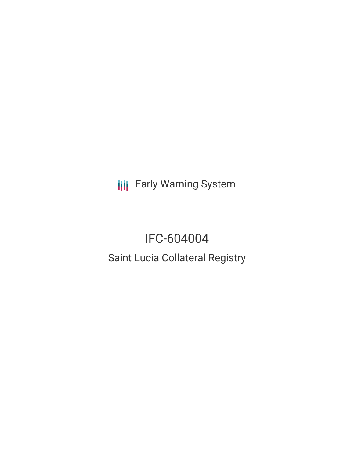**III** Early Warning System

# IFC-604004

# Saint Lucia Collateral Registry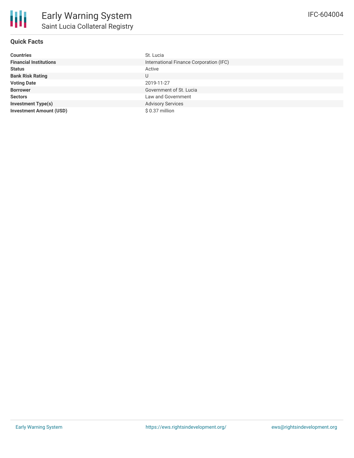## **Quick Facts**

| <b>Countries</b>               | St. Lucia                               |
|--------------------------------|-----------------------------------------|
| <b>Financial Institutions</b>  | International Finance Corporation (IFC) |
| <b>Status</b>                  | Active                                  |
| <b>Bank Risk Rating</b>        | U                                       |
| <b>Voting Date</b>             | 2019-11-27                              |
| <b>Borrower</b>                | Government of St. Lucia                 |
| <b>Sectors</b>                 | Law and Government                      |
| <b>Investment Type(s)</b>      | <b>Advisory Services</b>                |
| <b>Investment Amount (USD)</b> | \$0.37 million                          |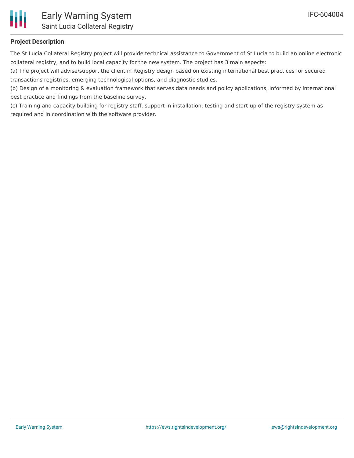

### **Project Description**

The St Lucia Collateral Registry project will provide technical assistance to Government of St Lucia to build an online electronic collateral registry, and to build local capacity for the new system. The project has 3 main aspects:

(a) The project will advise/support the client in Registry design based on existing international best practices for secured transactions registries, emerging technological options, and diagnostic studies.

(b) Design of a monitoring & evaluation framework that serves data needs and policy applications, informed by international best practice and findings from the baseline survey.

(c) Training and capacity building for registry staff, support in installation, testing and start-up of the registry system as required and in coordination with the software provider.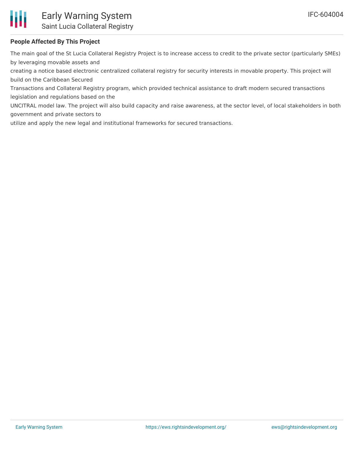

### **People Affected By This Project**

The main goal of the St Lucia Collateral Registry Project is to increase access to credit to the private sector (particularly SMEs) by leveraging movable assets and

creating a notice based electronic centralized collateral registry for security interests in movable property. This project will build on the Caribbean Secured

Transactions and Collateral Registry program, which provided technical assistance to draft modern secured transactions legislation and regulations based on the

UNCITRAL model law. The project will also build capacity and raise awareness, at the sector level, of local stakeholders in both government and private sectors to

utilize and apply the new legal and institutional frameworks for secured transactions.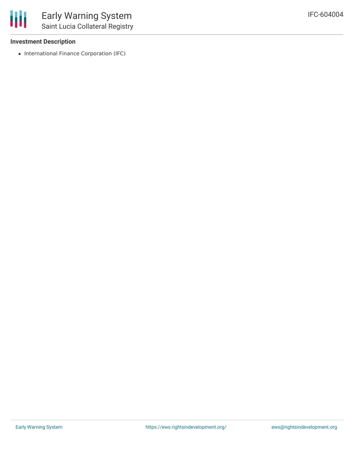#### **Investment Description**

• International Finance Corporation (IFC)